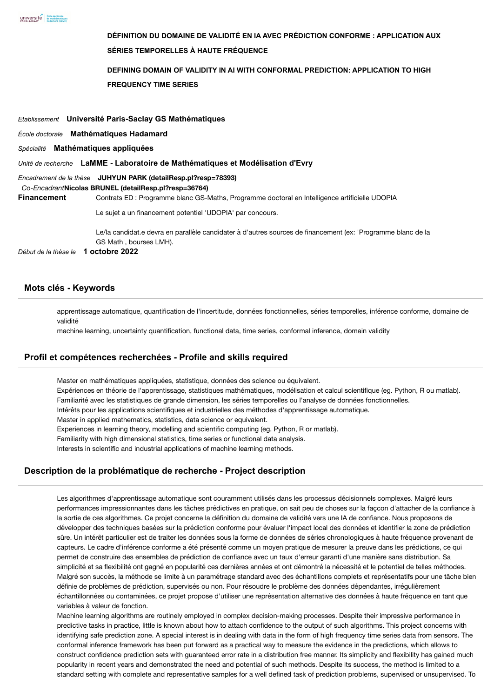**DÉFINITION DU DOMAINE DE VALIDITÉ EN IA AVEC PRÉDICTION CONFORME : APPLICATION AUX SÉRIES TEMPORELLES À HAUTE FRÉQUENCE DEFINING DOMAIN OF VALIDITY IN AI WITH CONFORMAL PREDICTION: APPLICATION TO HIGH FREQUENCY TIME SERIES** *Etablissement* **Université Paris-Saclay GS Mathématiques** *École doctorale* **Mathématiques Hadamard** *Spécialité* **Mathématiques appliquées** *Unité de recherche* **LaMME - Laboratoire de Mathématiques et Modélisation d'Evry** *Encadrement de la thèse* **JUHYUN PARK [\(detailResp.pl?resp=78393\)](https://www.adum.fr/as/ed/detailResp.pl?resp=78393)** *Co-Encadrant***Nicolas BRUNEL [\(detailResp.pl?resp=36764\)](https://www.adum.fr/as/ed/detailResp.pl?resp=36764) Financement** Contrats ED : Programme blanc GS-Maths, Programme doctoral en Intelligence artificielle UDOPIA Le sujet a un financement potentiel 'UDOPIA' par concours. Le/la candidat.e devra en parallèle candidater à d'autres sources de financement (ex: 'Programme blanc de la GS Math', bourses LMH). *Début de la thèse le* **1 octobre 2022**

#### **Mots clés - Keywords**

apprentissage automatique, quantification de l'incertitude, données fonctionnelles, séries temporelles, inférence conforme, domaine de validité

machine learning, uncertainty quantification, functional data, time series, conformal inference, domain validity

#### **Profil et compétences recherchées - Profile and skills required**

Master en mathématiques appliquées, statistique, données des science ou équivalent. Expériences en théorie de l'apprentissage, statistiques mathématiques, modélisation et calcul scientifique (eg. Python, R ou matlab). Familiarité avec les statistiques de grande dimension, les séries temporelles ou l'analyse de données fonctionnelles. Intérêts pour les applications scientifiques et industrielles des méthodes d'apprentissage automatique. Master in applied mathematics, statistics, data science or equivalent. Experiences in learning theory, modelling and scientific computing (eg. Python, R or matlab). Familiarity with high dimensional statistics, time series or functional data analysis. Interests in scientific and industrial applications of machine learning methods.

## **Description de la problématique de recherche - Project description**

Les algorithmes d'apprentissage automatique sont couramment utilisés dans les processus décisionnels complexes. Malgré leurs performances impressionnantes dans les tâches prédictives en pratique, on sait peu de choses sur la façcon d'attacher de la confiance à la sortie de ces algorithmes. Ce projet concerne la définition du domaine de validité vers une IA de confiance. Nous proposons de développer des techniques basées sur la prédiction conforme pour évaluer l'impact local des données et identifier la zone de prédiction sûre. Un intérêt particulier est de traiter les données sous la forme de données de séries chronologiques à haute fréquence provenant de capteurs. Le cadre d'inférence conforme a été présenté comme un moyen pratique de mesurer la preuve dans les prédictions, ce qui permet de construire des ensembles de prédiction de confiance avec un taux d'erreur garanti d'une manière sans distribution. Sa simplicité et sa flexibilité ont gagné en popularité ces dernières années et ont démontré la nécessité et le potentiel de telles méthodes. Malgré son succès, la méthode se limite à un paramétrage standard avec des échantillons complets et représentatifs pour une tâche bien définie de problèmes de prédiction, supervisés ou non. Pour résoudre le problème des données dépendantes, irrégulièrement échantillonnées ou contaminées, ce projet propose d'utiliser une représentation alternative des données à haute fréquence en tant que variables à valeur de fonction.

Machine learning algorithms are routinely employed in complex decision-making processes. Despite their impressive performance in predictive tasks in practice, little is known about how to attach confidence to the output of such algorithms. This project concerns with identifying safe prediction zone. A special interest is in dealing with data in the form of high frequency time series data from sensors. The conformal inference framework has been put forward as a practical way to measure the evidence in the predictions, which allows to construct confidence prediction sets with guaranteed error rate in a distribution free manner. Its simplicity and flexibility has gained much popularity in recent years and demonstrated the need and potential of such methods. Despite its success, the method is limited to a standard setting with complete and representative samples for a well defined task of prediction problems, supervised or unsupervised. To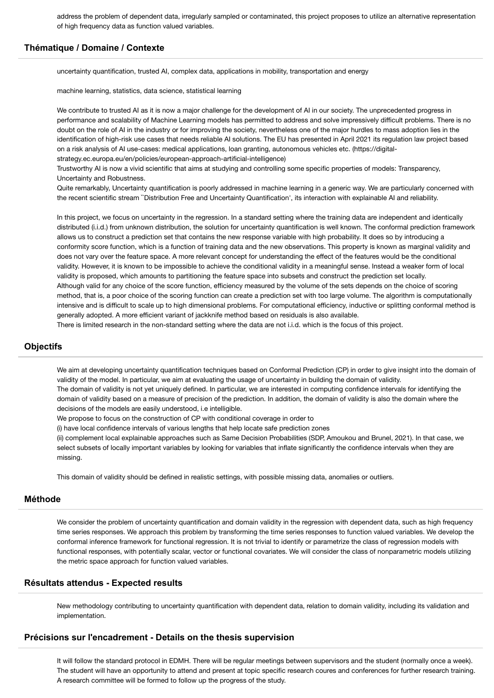address the problem of dependent data, irregularly sampled or contaminated, this project proposes to utilize an alternative representation of high frequency data as function valued variables.

### **Thématique / Domaine / Contexte**

uncertainty quantification, trusted AI, complex data, applications in mobility, transportation and energy

machine learning, statistics, data science, statistical learning

We contribute to trusted AI as it is now a major challenge for the development of AI in our society. The unprecedented progress in performance and scalability of Machine Learning models has permitted to address and solve impressively difficult problems. There is no doubt on the role of AI in the industry or for improving the society, nevertheless one of the major hurdles to mass adoption lies in the identification of high-risk use cases that needs reliable AI solutions. The EU has presented in April 2021 its regulation law project based on a risk analysis of AI use-cases: medical applications, loan granting, autonomous vehicles etc. (https://digitalstrategy.ec.europa.eu/en/policies/european-approach-artificial-intelligence)

Trustworthy AI is now a vivid scientific that aims at studying and controlling some specific properties of models: Transparency, Uncertainty and Robustness.

Quite remarkably, Uncertainty quantification is poorly addressed in machine learning in a generic way. We are particularly concerned with the recent scientific stream ``Distribution Free and Uncertainty Quantification', its interaction with explainable AI and reliability.

In this project, we focus on uncertainty in the regression. In a standard setting where the training data are independent and identically distributed (i.i.d.) from unknown distribution, the solution for uncertainty quantification is well known. The conformal prediction framework allows us to construct a prediction set that contains the new response variable with high probability. It does so by introducing a conformity score function, which is a function of training data and the new observations. This property is known as marginal validity and does not vary over the feature space. A more relevant concept for understanding the effect of the features would be the conditional validity. However, it is known to be impossible to achieve the conditional validity in a meaningful sense. Instead a weaker form of local validity is proposed, which amounts to partitioning the feature space into subsets and construct the prediction set locally. Although valid for any choice of the score function, efficiency measured by the volume of the sets depends on the choice of scoring method, that is, a poor choice of the scoring function can create a prediction set with too large volume. The algorithm is computationally intensive and is difficult to scale up to high dimensional problems. For computational efficiency, inductive or splitting conformal method is generally adopted. A more efficient variant of jackknife method based on residuals is also available. There is limited research in the non-standard setting where the data are not i.i.d. which is the focus of this project.

### **Objectifs**

We aim at developing uncertainty quantification techniques based on Conformal Prediction (CP) in order to give insight into the domain of validity of the model. In particular, we aim at evaluating the usage of uncertainty in building the domain of validity.

The domain of validity is not yet uniquely defined. In particular, we are interested in computing confidence intervals for identifying the domain of validity based on a measure of precision of the prediction. In addition, the domain of validity is also the domain where the decisions of the models are easily understood, i.e intelligible.

We propose to focus on the construction of CP with conditional coverage in order to

(i) have local confidence intervals of various lengths that help locate safe prediction zones

(ii) complement local explainable approaches such as Same Decision Probabilities (SDP, Amoukou and Brunel, 2021). In that case, we select subsets of locally important variables by looking for variables that inflate significantly the confidence intervals when they are missing.

This domain of validity should be defined in realistic settings, with possible missing data, anomalies or outliers.

## **Méthode**

We consider the problem of uncertainty quantification and domain validity in the regression with dependent data, such as high frequency time series responses. We approach this problem by transforming the time series responses to function valued variables. We develop the conformal inference framework for functional regression. It is not trivial to identify or parametrize the class of regression models with functional responses, with potentially scalar, vector or functional covariates. We will consider the class of nonparametric models utilizing the metric space approach for function valued variables.

#### **Résultats attendus - Expected results**

New methodology contributing to uncertainty quantification with dependent data, relation to domain validity, including its validation and implementation.

### **Précisions sur l'encadrement - Details on the thesis supervision**

It will follow the standard protocol in EDMH. There will be regular meetings between supervisors and the student (normally once a week). The student will have an opportunity to attend and present at topic specific research coures and conferences for further research training. A research committee will be formed to follow up the progress of the study.